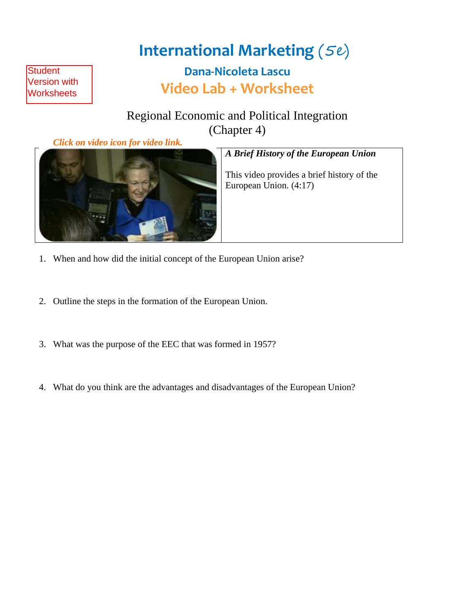# **International Marketing** (5e)

**Dana-Nicoleta Lascu Video Lab + Worksheet**

Regional Economic and Political Integration (Chapter 4)

 *Click on video icon for video link.*

**Student** Version with **Worksheets** 



#### *A Brief History of the European Union*

This video provides a brief history of the European Union. (4:17)

- 1. When and how did the initial concept of the European Union arise?
- 2. Outline the steps in the formation of the European Union.
- 3. What was the purpose of the EEC that was formed in 1957?
- 4. What do you think are the advantages and disadvantages of the European Union?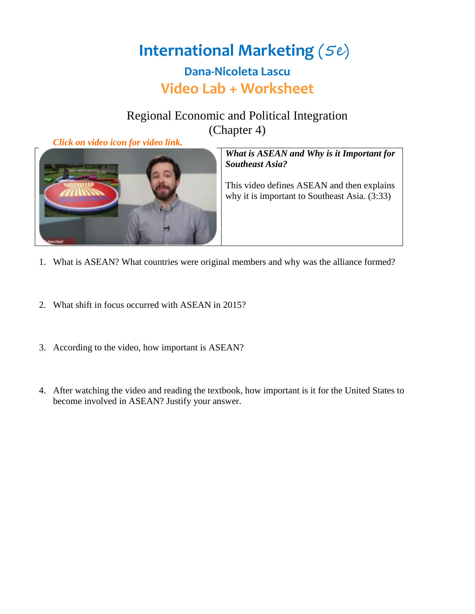#### Regional Economic and Political Integration (Chapter 4)

 *Click on video icon for video link.*



*What is ASEAN and Why is it Important for Southeast Asia?*

This video defines ASEAN and then explains why it is important to Southeast Asia. (3:33)

- 1. What is ASEAN? What countries were original members and why was the alliance formed?
- 2. What shift in focus occurred with ASEAN in 2015?
- 3. According to the video, how important is ASEAN?
- 4. After watching the video and reading the textbook, how important is it for the United States to become involved in ASEAN? Justify your answer.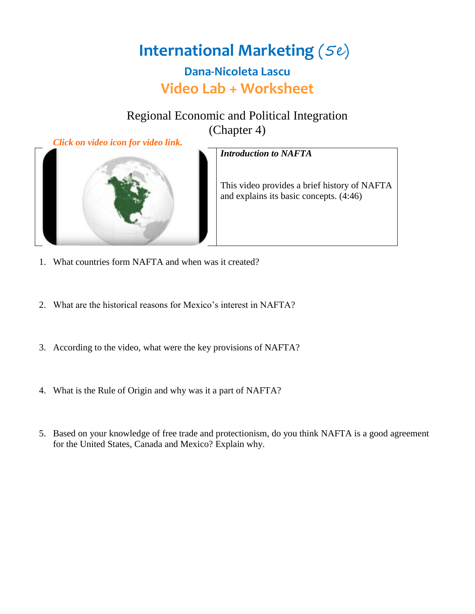#### Regional Economic and Political Integration (Chapter 4)



*Introduction to NAFTA*

This video provides a brief history of NAFTA and explains its basic concepts. (4:46)

- 1. What countries form NAFTA and when was it created?
- 2. What are the historical reasons for Mexico's interest in NAFTA?
- 3. According to the video, what were the key provisions of NAFTA?
- 4. What is the Rule of Origin and why was it a part of NAFTA?
- 5. Based on your knowledge of free trade and protectionism, do you think NAFTA is a good agreement for the United States, Canada and Mexico? Explain why.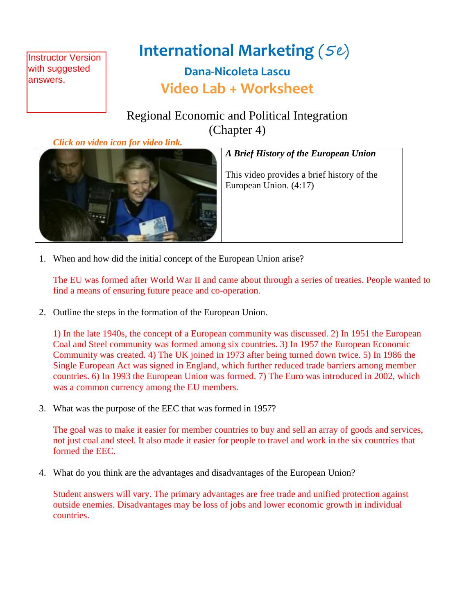**Instructor Version** with suggested answers.

# **International Marketing** (5e)

### **Dana-Nicoleta Lascu Video Lab + Worksheet**

Regional Economic and Political Integration (Chapter 4)

 *Click on video icon for video link.*



#### *A Brief History of the European Union*

This video provides a brief history of the European Union. (4:17)

1. When and how did the initial concept of the European Union arise?

The EU was formed after World War II and came about through a series of treaties. People wanted to find a means of ensuring future peace and co-operation.

2. Outline the steps in the formation of the European Union.

1) In the late 1940s, the concept of a European community was discussed. 2) In 1951 the European Coal and Steel community was formed among six countries. 3) In 1957 the European Economic Community was created. 4) The UK joined in 1973 after being turned down twice. 5) In 1986 the Single European Act was signed in England, which further reduced trade barriers among member countries. 6) In 1993 the European Union was formed. 7) The Euro was introduced in 2002, which was a common currency among the EU members.

3. What was the purpose of the EEC that was formed in 1957?

The goal was to make it easier for member countries to buy and sell an array of goods and services, not just coal and steel. It also made it easier for people to travel and work in the six countries that formed the EEC.

4. What do you think are the advantages and disadvantages of the European Union?

Student answers will vary. The primary advantages are free trade and unified protection against outside enemies. Disadvantages may be loss of jobs and lower economic growth in individual countries.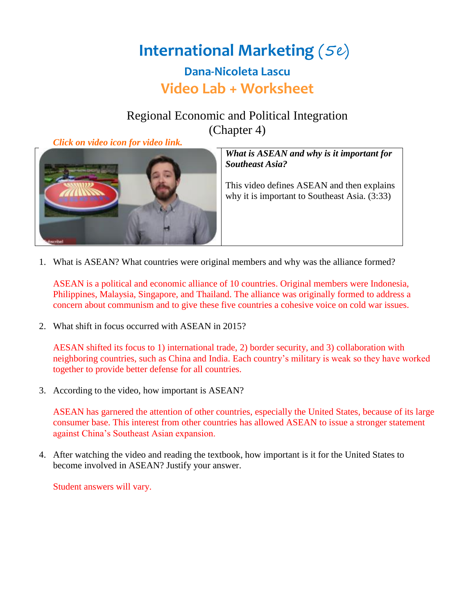### Regional Economic and Political Integration (Chapter 4)

 *Click on video icon for video link.*



*What is ASEAN and why is it important for Southeast Asia?*

This video defines ASEAN and then explains why it is important to Southeast Asia. (3:33)

1. What is ASEAN? What countries were original members and why was the alliance formed?

ASEAN is a political and economic alliance of 10 countries. Original members were Indonesia, Philippines, Malaysia, Singapore, and Thailand. The alliance was originally formed to address a concern about communism and to give these five countries a cohesive voice on cold war issues.

2. What shift in focus occurred with ASEAN in 2015?

AESAN shifted its focus to 1) international trade, 2) border security, and 3) collaboration with neighboring countries, such as China and India. Each country's military is weak so they have worked together to provide better defense for all countries.

3. According to the video, how important is ASEAN?

ASEAN has garnered the attention of other countries, especially the United States, because of its large consumer base. This interest from other countries has allowed ASEAN to issue a stronger statement against China's Southeast Asian expansion.

4. After watching the video and reading the textbook, how important is it for the United States to become involved in ASEAN? Justify your answer.

Student answers will vary.